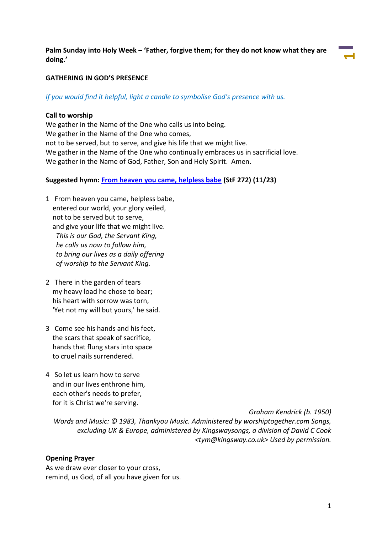**Palm Sunday into Holy Week – 'Father, forgive them; for they do not know what they are doing.'**

# **GATHERING IN GOD'S PRESENCE**

*If you would find it helpful, light a candle to symbolise God's presence with us.* 

# **Call to worship**

We gather in the Name of the One who calls us into being. We gather in the Name of the One who comes, not to be served, but to serve, and give his life that we might live. We gather in the Name of the One who continually embraces us in sacrificial love. We gather in the Name of God, Father, Son and Holy Spirit. Amen.

# **Suggested hymn: [From heaven you came, helpless babe](https://www.methodist.org.uk/our-faith/worship/singing-the-faith-plus/hymns/from-heaven-you-came-helpless-babe-stf-272/) (StF 272) (11/23)**

- 1 From heaven you came, helpless babe, entered our world, your glory veiled, not to be served but to serve, and give your life that we might live. *This is our God, the Servant King, he calls us now to follow him, to bring our lives as a daily offering of worship to the Servant King.*
- 2 There in the garden of tears my heavy load he chose to bear; his heart with sorrow was torn, 'Yet not my will but yours,' he said.
- 3 Come see his hands and his feet, the scars that speak of sacrifice, hands that flung stars into space to cruel nails surrendered.
- 4 So let us learn how to serve and in our lives enthrone him, each other's needs to prefer, for it is Christ we're serving.

*Graham Kendrick (b. 1950)*

*Words and Music: © 1983, Thankyou Music. Administered by worshiptogether.com Songs, excluding UK & Europe, administered by Kingswaysongs, a division of David C Cook <tym@kingsway.co.uk> Used by permission.*

### **Opening Prayer**

As we draw ever closer to your cross, remind, us God, of all you have given for us. **1**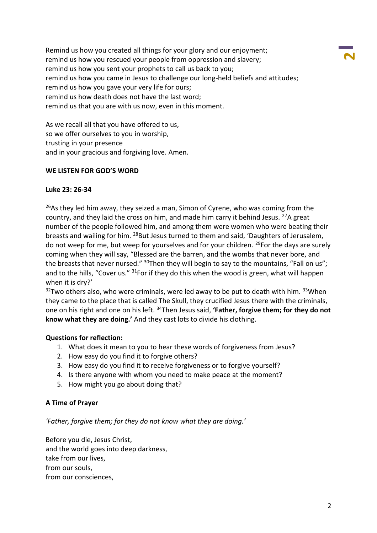Remind us how you created all things for your glory and our enjoyment; remind us how you rescued your people from oppression and slavery; remind us how you sent your prophets to call us back to you; remind us how you came in Jesus to challenge our long-held beliefs and attitudes; remind us how you gave your very life for ours; remind us how death does not have the last word; remind us that you are with us now, even in this moment.

As we recall all that you have offered to us, so we offer ourselves to you in worship, trusting in your presence and in your gracious and forgiving love. Amen.

### **WE LISTEN FOR GOD'S WORD**

#### **Luke 23: 26-34**

 $26$ As they led him away, they seized a man, Simon of Cyrene, who was coming from the country, and they laid the cross on him, and made him carry it behind Jesus.  $27A$  great number of the people followed him, and among them were women who were beating their breasts and wailing for him. <sup>28</sup>But Jesus turned to them and said, 'Daughters of Jerusalem, do not weep for me, but weep for yourselves and for your children. <sup>29</sup>For the days are surely coming when they will say, "Blessed are the barren, and the wombs that never bore, and the breasts that never nursed."  $30$ Then they will begin to say to the mountains, "Fall on us"; and to the hills, "Cover us."  $31$  For if they do this when the wood is green, what will happen when it is dry?'

 $32$ Two others also, who were criminals, were led away to be put to death with him.  $33$ When they came to the place that is called The Skull, they crucified Jesus there with the criminals, one on his right and one on his left. <sup>34</sup>Then Jesus said, **'Father, forgive them; for they do not know what they are doing.'** And they cast lots to divide his clothing.

#### **Questions for reflection:**

- 1. What does it mean to you to hear these words of forgiveness from Jesus?
- 2. How easy do you find it to forgive others?
- 3. How easy do you find it to receive forgiveness or to forgive yourself?
- 4. Is there anyone with whom you need to make peace at the moment?
- 5. How might you go about doing that?

#### **A Time of Prayer**

*'Father, forgive them; for they do not know what they are doing.'*

Before you die, Jesus Christ, and the world goes into deep darkness, take from our lives, from our souls, from our consciences,

**2**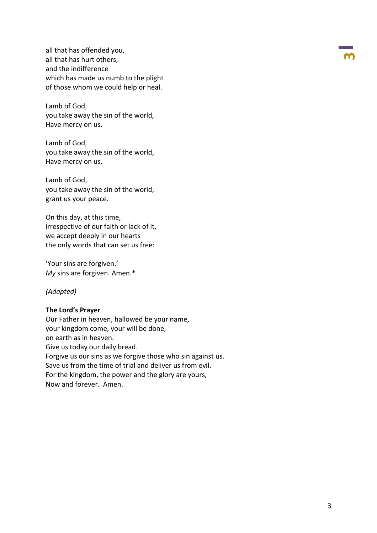all that has offended you, all that has hurt others, and the indifference which has made us numb to the plight of those whom we could help or heal.

Lamb of God, you take away the sin of the world, Have mercy on us.

Lamb of God, you take away the sin of the world, Have mercy on us.

Lamb of God, you take away the sin of the world, grant us your peace.

On this day, at this time, irrespective of our faith or lack of it, we accept deeply in our hearts the only words that can set us free:

'Your sins are forgiven.' *My* sins are forgiven. Amen.**\***

*(Adapted)*

### **The Lord's Prayer**

Our Father in heaven, hallowed be your name, your kingdom come, your will be done, on earth as in heaven. Give us today our daily bread. Forgive us our sins as we forgive those who sin against us. Save us from the time of trial and deliver us from evil. For the kingdom, the power and the glory are yours, Now and forever. Amen.

**3**